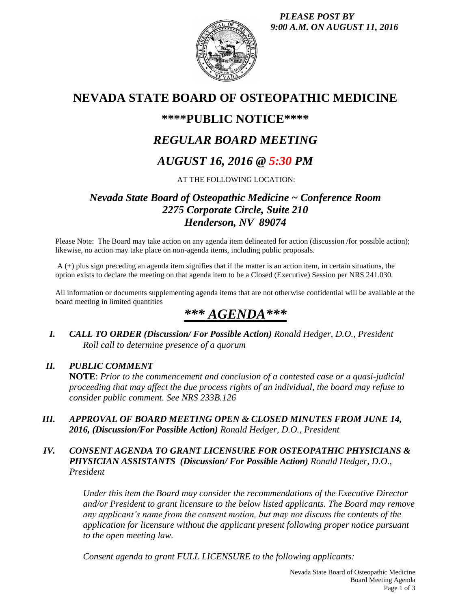*PLEASE POST BY 9:00 A.M. ON AUGUST 11, 2016*



## **NEVADA STATE BOARD OF OSTEOPATHIC MEDICINE**

### **\*\*\*\*PUBLIC NOTICE\*\*\*\***

# *REGULAR BOARD MEETING*

# *AUGUST 16, 2016 @ 5:30 PM*

AT THE FOLLOWING LOCATION:

### *Nevada State Board of Osteopathic Medicine ~ Conference Room 2275 Corporate Circle, Suite 210 Henderson, NV 89074*

Please Note: The Board may take action on any agenda item delineated for action (discussion /for possible action); likewise, no action may take place on non-agenda items, including public proposals.

A (+) plus sign preceding an agenda item signifies that if the matter is an action item, in certain situations, the option exists to declare the meeting on that agenda item to be a Closed (Executive) Session per NRS 241.030.

All information or documents supplementing agenda items that are not otherwise confidential will be available at the board meeting in limited quantities

# *\*\*\* AGENDA\*\*\**

*I. CALL TO ORDER (Discussion/ For Possible Action) Ronald Hedger, D.O., President Roll call to determine presence of a quorum*

#### *II. PUBLIC COMMENT*

**NOTE**: *Prior to the commencement and conclusion of a contested case or a quasi-judicial proceeding that may affect the due process rights of an individual, the board may refuse to consider public comment. See NRS 233B.126*

*III. APPROVAL OF BOARD MEETING OPEN & CLOSED MINUTES FROM JUNE 14, 2016, (Discussion/For Possible Action) Ronald Hedger, D.O., President*

#### *IV. CONSENT AGENDA TO GRANT LICENSURE FOR OSTEOPATHIC PHYSICIANS & PHYSICIAN ASSISTANTS (Discussion/ For Possible Action) Ronald Hedger, D.O., President*

*Under this item the Board may consider the recommendations of the Executive Director and/or President to grant licensure to the below listed applicants. The Board may remove any applicant's name from the consent motion, but may not discuss the contents of the application for licensure without the applicant present following proper notice pursuant to the open meeting law.* 

*Consent agenda to grant FULL LICENSURE to the following applicants:*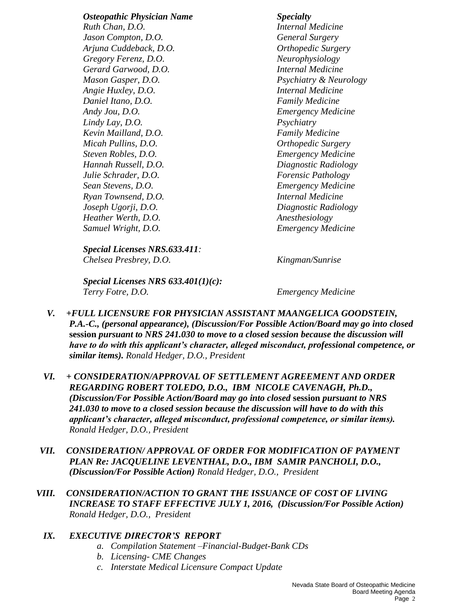*Osteopathic Physician Name Specialty Ruth Chan, D.O. Internal Medicine Jason Compton, D.O. General Surgery Arjuna Cuddeback, D.O. Orthopedic Surgery Gregory Ferenz, D.O. Neurophysiology Gerard Garwood, D.O. Internal Medicine Mason Gasper, D.O. Psychiatry & Neurology Angie Huxley, D.O. Internal Medicine Daniel Itano, D.O. Family Medicine Andy Jou, D.O. Emergency Medicine Lindy Lay, D.O. Psychiatry Kevin Mailland, D.O. Family Medicine Micah Pullins, D.O. Orthopedic Surgery Steven Robles, D.O. Emergency Medicine Hannah Russell, D.O. Diagnostic Radiology Julie Schrader, D.O. Forensic Pathology Sean Stevens, D.O. Emergency Medicine Ryan Townsend, D.O. Internal Medicine Joseph Ugorji, D.O. Diagnostic Radiology Heather Werth, D.O. Anesthesiology Samuel Wright, D.O. Emergency Medicine*

*Special Licenses NRS.633.411: Chelsea Presbrey, D.O. Kingman/Sunrise*

*Special Licenses NRS 633.401(1)(c): Terry Fotre, D.O. Emergency Medicine*

- *V. +FULL LICENSURE FOR PHYSICIAN ASSISTANT MAANGELICA GOODSTEIN, P.A.-C., (personal appearance), (Discussion/For Possible Action/Board may go into closed*  **session** *pursuant to NRS 241.030 to move to a closed session because the discussion will have to do with this applicant's character, alleged misconduct, professional competence, or similar items). Ronald Hedger, D.O., President*
- *VI. + CONSIDERATION/APPROVAL OF SETTLEMENT AGREEMENT AND ORDER REGARDING ROBERT TOLEDO, D.O., IBM NICOLE CAVENAGH, Ph.D., (Discussion/For Possible Action/Board may go into closed* **session** *pursuant to NRS 241.030 to move to a closed session because the discussion will have to do with this applicant's character, alleged misconduct, professional competence, or similar items). Ronald Hedger, D.O., President*
- *VII. CONSIDERATION/ APPROVAL OF ORDER FOR MODIFICATION OF PAYMENT PLAN Re: JACQUELINE LEVENTHAL, D.O., IBM SAMIR PANCHOLI, D.O., (Discussion/For Possible Action) Ronald Hedger, D.O., President*
- *VIII. CONSIDERATION/ACTION TO GRANT THE ISSUANCE OF COST OF LIVING INCREASE TO STAFF EFFECTIVE JULY 1, 2016, (Discussion/For Possible Action) Ronald Hedger, D.O., President*

### *IX. EXECUTIVE DIRECTOR'S REPORT*

- *a. Compilation Statement –Financial-Budget-Bank CDs*
- *b. Licensing- CME Changes*
- *c. Interstate Medical Licensure Compact Update*